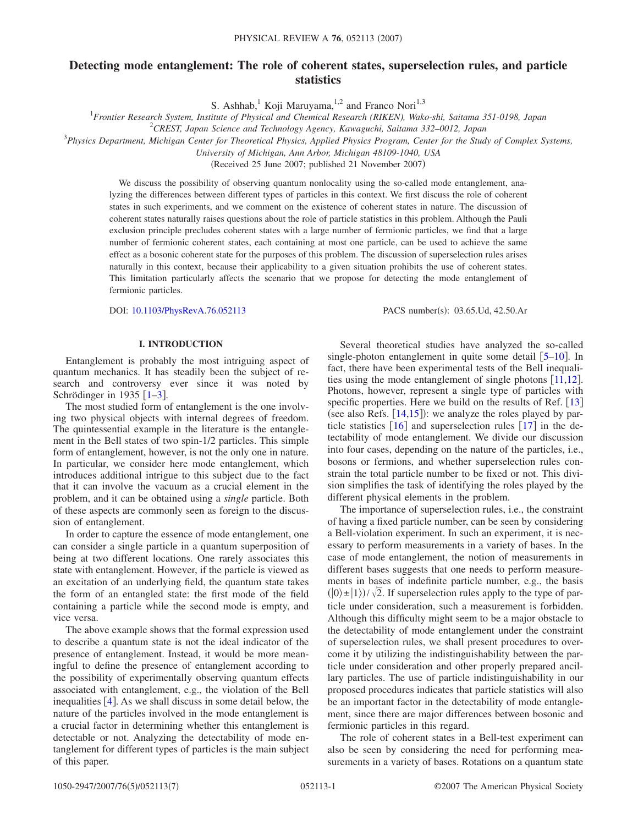# **Detecting mode entanglement: The role of coherent states, superselection rules, and particle statistics**

S. Ashhab,<sup>1</sup> Koji Maruyama,<sup>1,2</sup> and Franco Nori<sup>1,3</sup>

1 *Frontier Research System, Institute of Physical and Chemical Research (RIKEN), Wako-shi, Saitama 351-0198, Japan*

2 *CREST, Japan Science and Technology Agency, Kawaguchi, Saitama 332–0012, Japan*

3 *Physics Department, Michigan Center for Theoretical Physics, Applied Physics Program, Center for the Study of Complex Systems,*

*University of Michigan, Ann Arbor, Michigan 48109-1040, USA*

(Received 25 June 2007; published 21 November 2007)

We discuss the possibility of observing quantum nonlocality using the so-called mode entanglement, analyzing the differences between different types of particles in this context. We first discuss the role of coherent states in such experiments, and we comment on the existence of coherent states in nature. The discussion of coherent states naturally raises questions about the role of particle statistics in this problem. Although the Pauli exclusion principle precludes coherent states with a large number of fermionic particles, we find that a large number of fermionic coherent states, each containing at most one particle, can be used to achieve the same effect as a bosonic coherent state for the purposes of this problem. The discussion of superselection rules arises naturally in this context, because their applicability to a given situation prohibits the use of coherent states. This limitation particularly affects the scenario that we propose for detecting the mode entanglement of fermionic particles.

DOI: [10.1103/PhysRevA.76.052113](http://dx.doi.org/10.1103/PhysRevA.76.052113)

PACS number(s): 03.65.Ud, 42.50.Ar

# **I. INTRODUCTION**

Entanglement is probably the most intriguing aspect of quantum mechanics. It has steadily been the subject of research and controversy ever since it was noted by Schrödinger in 19[3](#page-6-1)5  $\left[1 - 3\right]$ .

The most studied form of entanglement is the one involving two physical objects with internal degrees of freedom. The quintessential example in the literature is the entanglement in the Bell states of two spin-1/2 particles. This simple form of entanglement, however, is not the only one in nature. In particular, we consider here mode entanglement, which introduces additional intrigue to this subject due to the fact that it can involve the vacuum as a crucial element in the problem, and it can be obtained using a *single* particle. Both of these aspects are commonly seen as foreign to the discussion of entanglement.

In order to capture the essence of mode entanglement, one can consider a single particle in a quantum superposition of being at two different locations. One rarely associates this state with entanglement. However, if the particle is viewed as an excitation of an underlying field, the quantum state takes the form of an entangled state: the first mode of the field containing a particle while the second mode is empty, and vice versa.

The above example shows that the formal expression used to describe a quantum state is not the ideal indicator of the presence of entanglement. Instead, it would be more meaningful to define the presence of entanglement according to the possibility of experimentally observing quantum effects associated with entanglement, e.g., the violation of the Bell inequalities  $[4]$  $[4]$  $[4]$ . As we shall discuss in some detail below, the nature of the particles involved in the mode entanglement is a crucial factor in determining whether this entanglement is detectable or not. Analyzing the detectability of mode entanglement for different types of particles is the main subject of this paper.

Several theoretical studies have analyzed the so-called single-photon entanglement in quite some detail  $[5-10]$  $[5-10]$  $[5-10]$ . In fact, there have been experimental tests of the Bell inequalities using the mode entanglement of single photons  $\lceil 11,12 \rceil$  $\lceil 11,12 \rceil$  $\lceil 11,12 \rceil$  $\lceil 11,12 \rceil$ . Photons, however, represent a single type of particles with specific properties. Here we build on the results of Ref.  $[13]$  $[13]$  $[13]$ (see also Refs.  $[14, 15]$  $[14, 15]$  $[14, 15]$  $[14, 15]$  $[14, 15]$ ): we analyze the roles played by particle statistics  $\lceil 16 \rceil$  $\lceil 16 \rceil$  $\lceil 16 \rceil$  and superselection rules  $\lceil 17 \rceil$  $\lceil 17 \rceil$  $\lceil 17 \rceil$  in the detectability of mode entanglement. We divide our discussion into four cases, depending on the nature of the particles, i.e., bosons or fermions, and whether superselection rules constrain the total particle number to be fixed or not. This division simplifies the task of identifying the roles played by the different physical elements in the problem.

The importance of superselection rules, i.e., the constraint of having a fixed particle number, can be seen by considering a Bell-violation experiment. In such an experiment, it is necessary to perform measurements in a variety of bases. In the case of mode entanglement, the notion of measurements in different bases suggests that one needs to perform measurements in bases of indefinite particle number, e.g., the basis  $(|0\rangle \pm |1\rangle)/\sqrt{2}$ . If superselection rules apply to the type of particle under consideration, such a measurement is forbidden. Although this difficulty might seem to be a major obstacle to the detectability of mode entanglement under the constraint of superselection rules, we shall present procedures to overcome it by utilizing the indistinguishability between the particle under consideration and other properly prepared ancillary particles. The use of particle indistinguishability in our proposed procedures indicates that particle statistics will also be an important factor in the detectability of mode entanglement, since there are major differences between bosonic and fermionic particles in this regard.

The role of coherent states in a Bell-test experiment can also be seen by considering the need for performing measurements in a variety of bases. Rotations on a quantum state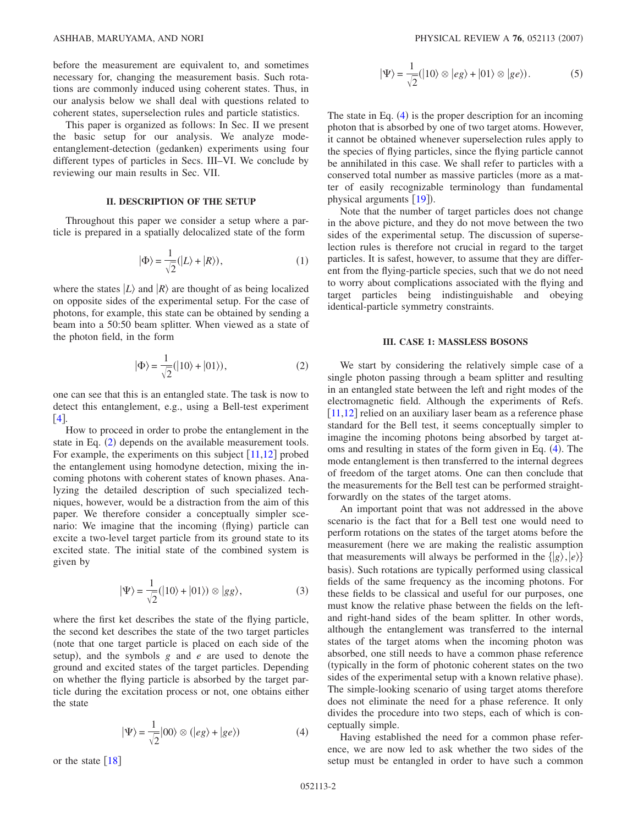before the measurement are equivalent to, and sometimes necessary for, changing the measurement basis. Such rotations are commonly induced using coherent states. Thus, in our analysis below we shall deal with questions related to coherent states, superselection rules and particle statistics.

This paper is organized as follows: In Sec. II we present the basic setup for our analysis. We analyze modeentanglement-detection (gedanken) experiments using four different types of particles in Secs. III–VI. We conclude by reviewing our main results in Sec. VII.

# **II. DESCRIPTION OF THE SETUP**

<span id="page-1-0"></span>Throughout this paper we consider a setup where a particle is prepared in a spatially delocalized state of the form

$$
|\Phi\rangle = \frac{1}{\sqrt{2}}(|L\rangle + |R\rangle),\tag{1}
$$

where the states  $|L\rangle$  and  $|R\rangle$  are thought of as being localized on opposite sides of the experimental setup. For the case of photons, for example, this state can be obtained by sending a beam into a 50:50 beam splitter. When viewed as a state of the photon field, in the form

$$
|\Phi\rangle = \frac{1}{\sqrt{2}}(|10\rangle + |01\rangle),\tag{2}
$$

one can see that this is an entangled state. The task is now to detect this entanglement, e.g., using a Bell-test experiment  $[4]$  $[4]$  $[4]$ .

How to proceed in order to probe the entanglement in the state in Eq. ([2](#page-1-0)) depends on the available measurement tools. For example, the experiments on this subject  $[11,12]$  $[11,12]$  $[11,12]$  $[11,12]$  probed the entanglement using homodyne detection, mixing the incoming photons with coherent states of known phases. Analyzing the detailed description of such specialized techniques, however, would be a distraction from the aim of this paper. We therefore consider a conceptually simpler scenario: We imagine that the incoming (flying) particle can excite a two-level target particle from its ground state to its excited state. The initial state of the combined system is given by

$$
|\Psi\rangle = \frac{1}{\sqrt{2}}(|10\rangle + |01\rangle) \otimes |gg\rangle, \tag{3}
$$

where the first ket describes the state of the flying particle, the second ket describes the state of the two target particles note that one target particle is placed on each side of the setup), and the symbols *g* and *e* are used to denote the ground and excited states of the target particles. Depending on whether the flying particle is absorbed by the target particle during the excitation process or not, one obtains either the state

$$
|\Psi\rangle = \frac{1}{\sqrt{2}}|00\rangle \otimes (|eg\rangle + |ge\rangle)
$$
 (4)

<span id="page-1-1"></span>or the state  $\lceil 18 \rceil$  $\lceil 18 \rceil$  $\lceil 18 \rceil$ 

$$
|\Psi\rangle = \frac{1}{\sqrt{2}} (|10\rangle \otimes |eg\rangle + |01\rangle \otimes |ge\rangle). \tag{5}
$$

<span id="page-1-2"></span>The state in Eq.  $(4)$  $(4)$  $(4)$  is the proper description for an incoming photon that is absorbed by one of two target atoms. However, it cannot be obtained whenever superselection rules apply to the species of flying particles, since the flying particle cannot be annihilated in this case. We shall refer to particles with a conserved total number as massive particles (more as a matter of easily recognizable terminology than fundamental physical arguments  $[19]$  $[19]$  $[19]$ ).

Note that the number of target particles does not change in the above picture, and they do not move between the two sides of the experimental setup. The discussion of superselection rules is therefore not crucial in regard to the target particles. It is safest, however, to assume that they are different from the flying-particle species, such that we do not need to worry about complications associated with the flying and target particles being indistinguishable and obeying identical-particle symmetry constraints.

# **III. CASE 1: MASSLESS BOSONS**

We start by considering the relatively simple case of a single photon passing through a beam splitter and resulting in an entangled state between the left and right modes of the electromagnetic field. Although the experiments of Refs.  $[11,12]$  $[11,12]$  $[11,12]$  $[11,12]$  relied on an auxiliary laser beam as a reference phase standard for the Bell test, it seems conceptually simpler to imagine the incoming photons being absorbed by target at-oms and resulting in states of the form given in Eq. ([4](#page-1-1)). The mode entanglement is then transferred to the internal degrees of freedom of the target atoms. One can then conclude that the measurements for the Bell test can be performed straightforwardly on the states of the target atoms.

An important point that was not addressed in the above scenario is the fact that for a Bell test one would need to perform rotations on the states of the target atoms before the measurement (here we are making the realistic assumption that measurements will always be performed in the  $\{ |g\rangle, |e\rangle \}$ basis). Such rotations are typically performed using classical fields of the same frequency as the incoming photons. For these fields to be classical and useful for our purposes, one must know the relative phase between the fields on the leftand right-hand sides of the beam splitter. In other words, although the entanglement was transferred to the internal states of the target atoms when the incoming photon was absorbed, one still needs to have a common phase reference typically in the form of photonic coherent states on the two sides of the experimental setup with a known relative phase). The simple-looking scenario of using target atoms therefore does not eliminate the need for a phase reference. It only divides the procedure into two steps, each of which is conceptually simple.

Having established the need for a common phase reference, we are now led to ask whether the two sides of the setup must be entangled in order to have such a common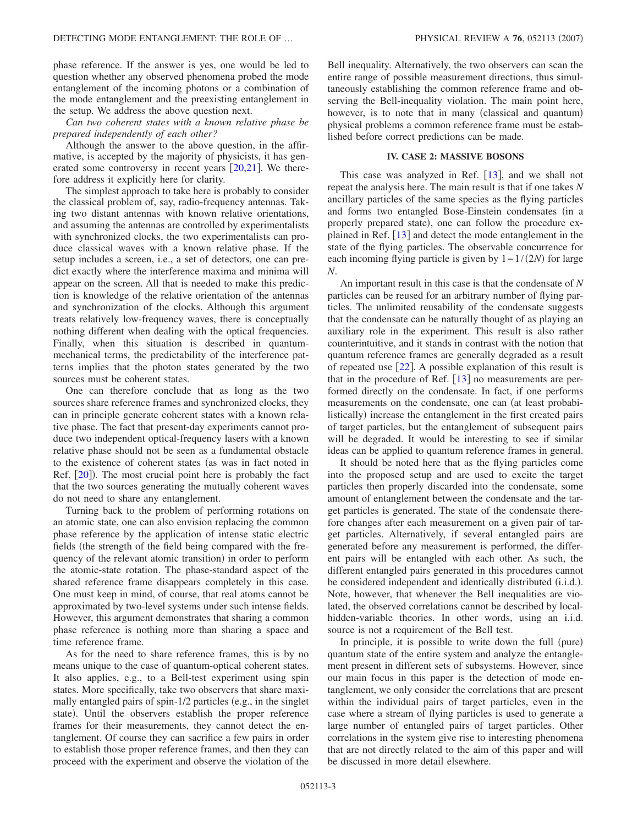phase reference. If the answer is yes, one would be led to question whether any observed phenomena probed the mode entanglement of the incoming photons or a combination of the mode entanglement and the preexisting entanglement in the setup. We address the above question next.

*Can two coherent states with a known relative phase be prepared independently of each other?*

Although the answer to the above question, in the affirmative, is accepted by the majority of physicists, it has generated some controversy in recent years  $[20,21]$  $[20,21]$  $[20,21]$  $[20,21]$ . We therefore address it explicitly here for clarity.

The simplest approach to take here is probably to consider the classical problem of, say, radio-frequency antennas. Taking two distant antennas with known relative orientations, and assuming the antennas are controlled by experimentalists with synchronized clocks, the two experimentalists can produce classical waves with a known relative phase. If the setup includes a screen, i.e., a set of detectors, one can predict exactly where the interference maxima and minima will appear on the screen. All that is needed to make this prediction is knowledge of the relative orientation of the antennas and synchronization of the clocks. Although this argument treats relatively low-frequency waves, there is conceptually nothing different when dealing with the optical frequencies. Finally, when this situation is described in quantummechanical terms, the predictability of the interference patterns implies that the photon states generated by the two sources must be coherent states.

One can therefore conclude that as long as the two sources share reference frames and synchronized clocks, they can in principle generate coherent states with a known relative phase. The fact that present-day experiments cannot produce two independent optical-frequency lasers with a known relative phase should not be seen as a fundamental obstacle to the existence of coherent states (as was in fact noted in Ref.  $[20]$  $[20]$  $[20]$ ). The most crucial point here is probably the fact that the two sources generating the mutually coherent waves do not need to share any entanglement.

Turning back to the problem of performing rotations on an atomic state, one can also envision replacing the common phase reference by the application of intense static electric fields (the strength of the field being compared with the frequency of the relevant atomic transition) in order to perform the atomic-state rotation. The phase-standard aspect of the shared reference frame disappears completely in this case. One must keep in mind, of course, that real atoms cannot be approximated by two-level systems under such intense fields. However, this argument demonstrates that sharing a common phase reference is nothing more than sharing a space and time reference frame.

As for the need to share reference frames, this is by no means unique to the case of quantum-optical coherent states. It also applies, e.g., to a Bell-test experiment using spin states. More specifically, take two observers that share maximally entangled pairs of spin-1/2 particles (e.g., in the singlet state). Until the observers establish the proper reference frames for their measurements, they cannot detect the entanglement. Of course they can sacrifice a few pairs in order to establish those proper reference frames, and then they can proceed with the experiment and observe the violation of the Bell inequality. Alternatively, the two observers can scan the entire range of possible measurement directions, thus simultaneously establishing the common reference frame and observing the Bell-inequality violation. The main point here, however, is to note that in many (classical and quantum) physical problems a common reference frame must be established before correct predictions can be made.

# **IV. CASE 2: MASSIVE BOSONS**

This case was analyzed in Ref.  $\vert 13 \vert$  $\vert 13 \vert$  $\vert 13 \vert$ , and we shall not repeat the analysis here. The main result is that if one takes *N* ancillary particles of the same species as the flying particles and forms two entangled Bose-Einstein condensates (in a properly prepared state), one can follow the procedure explained in Ref.  $[13]$  $[13]$  $[13]$  and detect the mode entanglement in the state of the flying particles. The observable concurrence for each incoming flying particle is given by  $1 - 1/(2N)$  for large *N*.

An important result in this case is that the condensate of *N* particles can be reused for an arbitrary number of flying particles. The unlimited reusability of the condensate suggests that the condensate can be naturally thought of as playing an auxiliary role in the experiment. This result is also rather counterintuitive, and it stands in contrast with the notion that quantum reference frames are generally degraded as a result of repeated use  $[22]$  $[22]$  $[22]$ . A possible explanation of this result is that in the procedure of Ref.  $\lceil 13 \rceil$  $\lceil 13 \rceil$  $\lceil 13 \rceil$  no measurements are performed directly on the condensate. In fact, if one performs measurements on the condensate, one can (at least probabilistically) increase the entanglement in the first created pairs of target particles, but the entanglement of subsequent pairs will be degraded. It would be interesting to see if similar ideas can be applied to quantum reference frames in general.

It should be noted here that as the flying particles come into the proposed setup and are used to excite the target particles then properly discarded into the condensate, some amount of entanglement between the condensate and the target particles is generated. The state of the condensate therefore changes after each measurement on a given pair of target particles. Alternatively, if several entangled pairs are generated before any measurement is performed, the different pairs will be entangled with each other. As such, the different entangled pairs generated in this procedures cannot be considered independent and identically distributed (i.i.d.). Note, however, that whenever the Bell inequalities are violated, the observed correlations cannot be described by localhidden-variable theories. In other words, using an i.i.d. source is not a requirement of the Bell test.

In principle, it is possible to write down the full (pure) quantum state of the entire system and analyze the entanglement present in different sets of subsystems. However, since our main focus in this paper is the detection of mode entanglement, we only consider the correlations that are present within the individual pairs of target particles, even in the case where a stream of flying particles is used to generate a large number of entangled pairs of target particles. Other correlations in the system give rise to interesting phenomena that are not directly related to the aim of this paper and will be discussed in more detail elsewhere.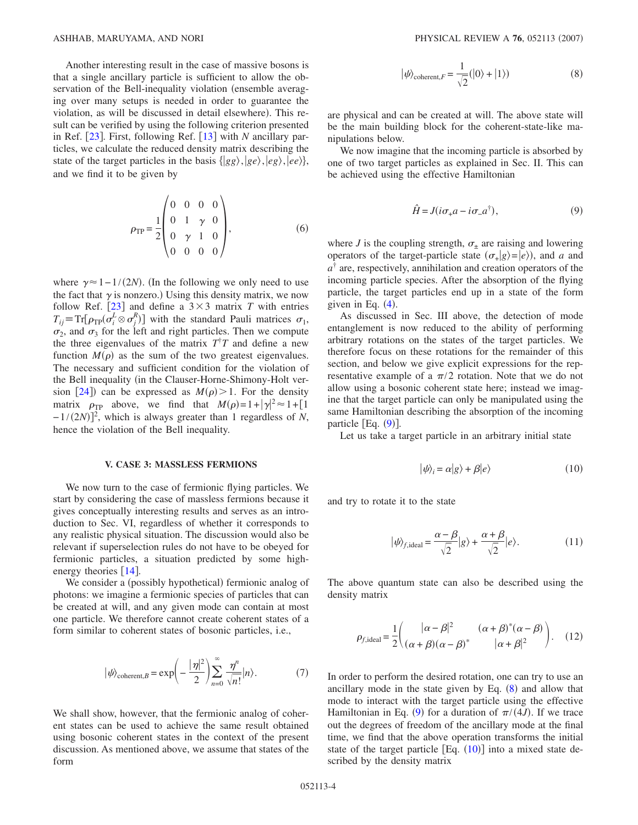Another interesting result in the case of massive bosons is that a single ancillary particle is sufficient to allow the observation of the Bell-inequality violation (ensemble averaging over many setups is needed in order to guarantee the violation, as will be discussed in detail elsewhere). This result can be verified by using the following criterion presented in Ref. [[23](#page-6-17)]. First, following Ref. [[13](#page-6-7)] with *N* ancillary particles, we calculate the reduced density matrix describing the state of the target particles in the basis  $\{ |gg\rangle, |ge\rangle, |eg\rangle, |ee\rangle\},\$ and we find it to be given by

$$
\rho_{\rm TP} = \frac{1}{2} \begin{pmatrix} 0 & 0 & 0 & 0 \\ 0 & 1 & \gamma & 0 \\ 0 & \gamma & 1 & 0 \\ 0 & 0 & 0 & 0 \end{pmatrix}, \tag{6}
$$

where  $\gamma \approx 1 - 1/(2N)$ . (In the following we only need to use the fact that  $\gamma$  is nonzero.) Using this density matrix, we now follow Ref.  $\left[23\right]$  $\left[23\right]$  $\left[23\right]$  and define a  $3\times3$  matrix *T* with entries  $T_{ij}$  = Tr[ $\rho_{TP}(\sigma_i^L \otimes \sigma_j^R)$ ] with the standard Pauli matrices  $\sigma_1$ ,  $\sigma_2$ , and  $\sigma_3$  for the left and right particles. Then we compute the three eigenvalues of the matrix  $T^{\dagger}T$  and define a new function  $M(\rho)$  as the sum of the two greatest eigenvalues. The necessary and sufficient condition for the violation of the Bell inequality (in the Clauser-Horne-Shimony-Holt ver-sion [[24](#page-6-18)]) can be expressed as  $M(\rho) > 1$ . For the density matrix  $\rho_{\text{TP}}$  above, we find that  $M(\rho) = 1 + |\gamma|^2 \approx 1 + [1]$  $-1/(2N)$ <sup>2</sup>, which is always greater than 1 regardless of *N*, hence the violation of the Bell inequality.

# **V. CASE 3: MASSLESS FERMIONS**

We now turn to the case of fermionic flying particles. We start by considering the case of massless fermions because it gives conceptually interesting results and serves as an introduction to Sec. VI, regardless of whether it corresponds to any realistic physical situation. The discussion would also be relevant if superselection rules do not have to be obeyed for fermionic particles, a situation predicted by some highenergy theories  $\lceil 14 \rceil$  $\lceil 14 \rceil$  $\lceil 14 \rceil$ .

We consider a (possibly hypothetical) fermionic analog of photons: we imagine a fermionic species of particles that can be created at will, and any given mode can contain at most one particle. We therefore cannot create coherent states of a form similar to coherent states of bosonic particles, i.e.,

$$
|\psi\rangle_{\text{coherent},B} = \exp\left(-\frac{|\eta|^2}{2}\right) \sum_{n=0}^{\infty} \frac{\eta^n}{\sqrt{n!}} |n\rangle. \tag{7}
$$

We shall show, however, that the fermionic analog of coherent states can be used to achieve the same result obtained using bosonic coherent states in the context of the present discussion. As mentioned above, we assume that states of the form

$$
|\psi\rangle_{\text{coherent},F} = \frac{1}{\sqrt{2}}(|0\rangle + |1\rangle)
$$
 (8)

<span id="page-3-1"></span>are physical and can be created at will. The above state will be the main building block for the coherent-state-like manipulations below.

We now imagine that the incoming particle is absorbed by one of two target particles as explained in Sec. II. This can be achieved using the effective Hamiltonian

$$
\hat{H} = J(i\sigma_{+}a - i\sigma_{-}a^{\dagger}), \qquad (9)
$$

<span id="page-3-0"></span>where *J* is the coupling strength,  $\sigma_{\pm}$  are raising and lowering operators of the target-particle state  $(\sigma_{+}|g\rangle=|e\rangle)$ , and *a* and  $a^{\dagger}$  are, respectively, annihilation and creation operators of the incoming particle species. After the absorption of the flying particle, the target particles end up in a state of the form given in Eq.  $(4)$  $(4)$  $(4)$ .

As discussed in Sec. III above, the detection of mode entanglement is now reduced to the ability of performing arbitrary rotations on the states of the target particles. We therefore focus on these rotations for the remainder of this section, and below we give explicit expressions for the representative example of a  $\pi/2$  rotation. Note that we do not allow using a bosonic coherent state here; instead we imagine that the target particle can only be manipulated using the same Hamiltonian describing the absorption of the incoming particle  $[Eq. (9)].$  $[Eq. (9)].$  $[Eq. (9)].$ 

<span id="page-3-2"></span>Let us take a target particle in an arbitrary initial state

$$
|\psi\rangle_i = \alpha|g\rangle + \beta|e\rangle \tag{10}
$$

and try to rotate it to the state

$$
|\psi\rangle_{f,\text{ideal}} = \frac{\alpha - \beta}{\sqrt{2}} |g\rangle + \frac{\alpha + \beta}{\sqrt{2}} |e\rangle. \tag{11}
$$

The above quantum state can also be described using the density matrix

<span id="page-3-3"></span>
$$
\rho_{f,\text{ideal}} = \frac{1}{2} \begin{pmatrix} |\alpha - \beta|^2 & (\alpha + \beta)^*(\alpha - \beta) \\ (\alpha + \beta)(\alpha - \beta)^* & |\alpha + \beta|^2 \end{pmatrix} . \tag{12}
$$

In order to perform the desired rotation, one can try to use an ancillary mode in the state given by Eq.  $(8)$  $(8)$  $(8)$  and allow that mode to interact with the target particle using the effective Hamiltonian in Eq. ([9](#page-3-0)) for a duration of  $\pi/(4J)$ . If we trace out the degrees of freedom of the ancillary mode at the final time, we find that the above operation transforms the initial state of the target particle  $[Eq. (10)]$  $[Eq. (10)]$  $[Eq. (10)]$  into a mixed state described by the density matrix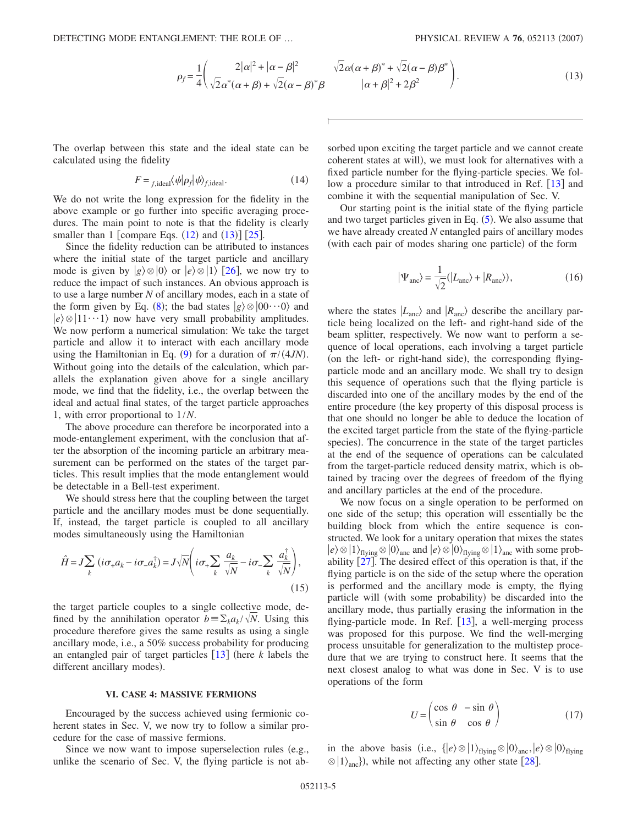<span id="page-4-0"></span>The overlap between this state and the ideal state can be calculated using the fidelity

$$
F = f_{\text{j,ideal}} \langle \psi | \rho_f | \psi \rangle_{f,\text{ideal}}.\tag{14}
$$

We do not write the long expression for the fidelity in the above example or go further into specific averaging procedures. The main point to note is that the fidelity is clearly smaller than  $1$  [compare Eqs.  $(12)$  $(12)$  $(12)$  and  $(13)$  $(13)$  $(13)$ ] [[25](#page-6-19)].

Since the fidelity reduction can be attributed to instances where the initial state of the target particle and ancillary mode is given by  $|g\rangle \otimes |0\rangle$  or  $|e\rangle \otimes |1\rangle$  [[26](#page-6-20)], we now try to reduce the impact of such instances. An obvious approach is to use a large number *N* of ancillary modes, each in a state of the form given by Eq. ([8](#page-3-1)); the bad states  $|g\rangle \otimes |00 \cdots 0\rangle$  and  $|e\rangle \otimes |11\cdots 1\rangle$  now have very small probability amplitudes. We now perform a numerical simulation: We take the target particle and allow it to interact with each ancillary mode using the Hamiltonian in Eq. ([9](#page-3-0)) for a duration of  $\pi/(4JN)$ . Without going into the details of the calculation, which parallels the explanation given above for a single ancillary mode, we find that the fidelity, i.e., the overlap between the ideal and actual final states, of the target particle approaches 1, with error proportional to 1/*N*.

The above procedure can therefore be incorporated into a mode-entanglement experiment, with the conclusion that after the absorption of the incoming particle an arbitrary measurement can be performed on the states of the target particles. This result implies that the mode entanglement would be detectable in a Bell-test experiment.

We should stress here that the coupling between the target particle and the ancillary modes must be done sequentially. If, instead, the target particle is coupled to all ancillary modes simultaneously using the Hamiltonian

$$
\hat{H} = J \sum_{k} \left( i \sigma_{+} a_{k} - i \sigma_{-} a_{k}^{\dagger} \right) = J \sqrt{N} \left( i \sigma_{+} \sum_{k} \frac{a_{k}}{\sqrt{N}} - i \sigma_{-} \sum_{k} \frac{a_{k}^{\dagger}}{\sqrt{N}} \right),
$$
\n(15)

the target particle couples to a single collective mode, defined by the annihilation operator  $b = \sum_k a_k / \sqrt{N}$ . Using this procedure therefore gives the same results as using a single ancillary mode, i.e., a 50% success probability for producing an entangled pair of target particles  $\left[13\right]$  $\left[13\right]$  $\left[13\right]$  (here *k* labels the different ancillary modes).

#### **VI. CASE 4: MASSIVE FERMIONS**

Encouraged by the success achieved using fermionic coherent states in Sec. V, we now try to follow a similar procedure for the case of massive fermions.

Since we now want to impose superselection rules (e.g., unlike the scenario of Sec. V, the flying particle is not ab-

$$
\sqrt{2\alpha(\alpha+\beta)} + \sqrt{2(\alpha-\beta)}\beta
$$
  
 
$$
|\alpha+\beta|^2 + 2\beta^2
$$
 (13)

sorbed upon exciting the target particle and we cannot create coherent states at will), we must look for alternatives with a fixed particle number for the flying-particle species. We follow a procedure similar to that introduced in Ref.  $\lceil 13 \rceil$  $\lceil 13 \rceil$  $\lceil 13 \rceil$  and combine it with the sequential manipulation of Sec. V.

Our starting point is the initial state of the flying particle and two target particles given in Eq.  $(5)$  $(5)$  $(5)$ . We also assume that we have already created *N* entangled pairs of ancillary modes (with each pair of modes sharing one particle) of the form

$$
|\Psi_{\text{anc}}\rangle = \frac{1}{\sqrt{2}}(|L_{\text{anc}}\rangle + |R_{\text{anc}}\rangle),\tag{16}
$$

<span id="page-4-1"></span>where the states  $|L_{\text{anc}}\rangle$  and  $|R_{\text{anc}}\rangle$  describe the ancillary particle being localized on the left- and right-hand side of the beam splitter, respectively. We now want to perform a sequence of local operations, each involving a target particle (on the left- or right-hand side), the corresponding flyingparticle mode and an ancillary mode. We shall try to design this sequence of operations such that the flying particle is discarded into one of the ancillary modes by the end of the entire procedure (the key property of this disposal process is that one should no longer be able to deduce the location of the excited target particle from the state of the flying-particle species). The concurrence in the state of the target particles at the end of the sequence of operations can be calculated from the target-particle reduced density matrix, which is obtained by tracing over the degrees of freedom of the flying and ancillary particles at the end of the procedure.

We now focus on a single operation to be performed on one side of the setup; this operation will essentially be the building block from which the entire sequence is constructed. We look for a unitary operation that mixes the states  $|e\rangle \otimes |1\rangle_{\text{flying}} \otimes |0\rangle_{\text{anc}}$  and  $|e\rangle \otimes |0\rangle_{\text{flying}} \otimes |1\rangle_{\text{anc}}$  with some probability  $\left[27\right]$  $\left[27\right]$  $\left[27\right]$ . The desired effect of this operation is that, if the flying particle is on the side of the setup where the operation is performed and the ancillary mode is empty, the flying particle will (with some probability) be discarded into the ancillary mode, thus partially erasing the information in the flying-particle mode. In Ref.  $[13]$  $[13]$  $[13]$ , a well-merging process was proposed for this purpose. We find the well-merging process unsuitable for generalization to the multistep procedure that we are trying to construct here. It seems that the next closest analog to what was done in Sec. V is to use operations of the form

$$
U = \begin{pmatrix} \cos \theta & -\sin \theta \\ \sin \theta & \cos \theta \end{pmatrix}
$$
 (17)

in the above basis (i.e.,  $\{|e\rangle \otimes |1\rangle_{\text{flying}} \otimes |0\rangle_{\text{anc}}, |e\rangle \otimes |0\rangle_{\text{flying}}$  $\otimes$  |1 $\rangle$ <sub>anc</sub>}), while not affecting any other state [[28](#page-6-22)].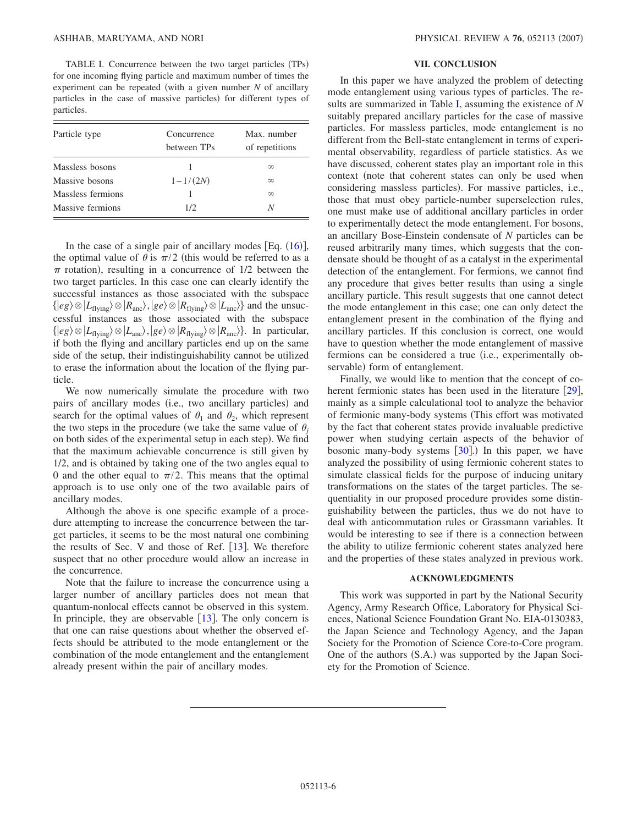<span id="page-5-0"></span>TABLE I. Concurrence between the two target particles (TPs) for one incoming flying particle and maximum number of times the experiment can be repeated (with a given number  $N$  of ancillary particles in the case of massive particles) for different types of particles.

| Particle type     | Concurrence<br>between TPs | Max. number<br>of repetitions |
|-------------------|----------------------------|-------------------------------|
| Massless bosons   |                            | $\infty$                      |
| Massive bosons    | $1 - 1/(2N)$               | $\infty$                      |
| Massless fermions |                            | $\infty$                      |
| Massive fermions  | 1/2.                       | N                             |

In the case of a single pair of ancillary modes [Eq.  $(16)$  $(16)$  $(16)$ ], the optimal value of  $\theta$  is  $\pi/2$  (this would be referred to as a  $\pi$  rotation), resulting in a concurrence of 1/2 between the two target particles. In this case one can clearly identify the successful instances as those associated with the subspace  $\{ |eg\rangle \otimes |L_{\text{flying}}\rangle \otimes |R_{\text{anc}}\rangle, |ge\rangle \otimes |R_{\text{flying}}\rangle \otimes |L_{\text{anc}}\rangle\}$  and the unsuccessful instances as those associated with the subspace  $\{ |eg\rangle \otimes |L_{\text{flying}}\rangle \otimes |L_{\text{anc}}\rangle, |ge\rangle \otimes |R_{\text{flying}}\rangle \otimes |R_{\text{anc}}\rangle\}.$  In particular, if both the flying and ancillary particles end up on the same side of the setup, their indistinguishability cannot be utilized to erase the information about the location of the flying particle.

We now numerically simulate the procedure with two pairs of ancillary modes (i.e., two ancillary particles) and search for the optimal values of  $\theta_1$  and  $\theta_2$ , which represent the two steps in the procedure (we take the same value of  $\theta_i$ on both sides of the experimental setup in each step). We find that the maximum achievable concurrence is still given by 1/2, and is obtained by taking one of the two angles equal to 0 and the other equal to  $\pi/2$ . This means that the optimal approach is to use only one of the two available pairs of ancillary modes.

Although the above is one specific example of a procedure attempting to increase the concurrence between the target particles, it seems to be the most natural one combining the results of Sec. V and those of Ref.  $[13]$  $[13]$  $[13]$ . We therefore suspect that no other procedure would allow an increase in the concurrence.

Note that the failure to increase the concurrence using a larger number of ancillary particles does not mean that quantum-nonlocal effects cannot be observed in this system. In principle, they are observable  $[13]$  $[13]$  $[13]$ . The only concern is that one can raise questions about whether the observed effects should be attributed to the mode entanglement or the combination of the mode entanglement and the entanglement already present within the pair of ancillary modes.

### **VII. CONCLUSION**

In this paper we have analyzed the problem of detecting mode entanglement using various types of particles. The results are summarized in Table [I,](#page-5-0) assuming the existence of *N* suitably prepared ancillary particles for the case of massive particles. For massless particles, mode entanglement is no different from the Bell-state entanglement in terms of experimental observability, regardless of particle statistics. As we have discussed, coherent states play an important role in this context (note that coherent states can only be used when considering massless particles). For massive particles, i.e., those that must obey particle-number superselection rules, one must make use of additional ancillary particles in order to experimentally detect the mode entanglement. For bosons, an ancillary Bose-Einstein condensate of *N* particles can be reused arbitrarily many times, which suggests that the condensate should be thought of as a catalyst in the experimental detection of the entanglement. For fermions, we cannot find any procedure that gives better results than using a single ancillary particle. This result suggests that one cannot detect the mode entanglement in this case; one can only detect the entanglement present in the combination of the flying and ancillary particles. If this conclusion is correct, one would have to question whether the mode entanglement of massive fermions can be considered a true (i.e., experimentally observable) form of entanglement.

Finally, we would like to mention that the concept of coherent fermionic states has been used in the literature  $[29]$  $[29]$  $[29]$ , mainly as a simple calculational tool to analyze the behavior of fermionic many-body systems (This effort was motivated by the fact that coherent states provide invaluable predictive power when studying certain aspects of the behavior of bosonic many-body systems  $[30]$  $[30]$  $[30]$ .) In this paper, we have analyzed the possibility of using fermionic coherent states to simulate classical fields for the purpose of inducing unitary transformations on the states of the target particles. The sequentiality in our proposed procedure provides some distinguishability between the particles, thus we do not have to deal with anticommutation rules or Grassmann variables. It would be interesting to see if there is a connection between the ability to utilize fermionic coherent states analyzed here and the properties of these states analyzed in previous work.

# **ACKNOWLEDGMENTS**

This work was supported in part by the National Security Agency, Army Research Office, Laboratory for Physical Sciences, National Science Foundation Grant No. EIA-0130383, the Japan Science and Technology Agency, and the Japan Society for the Promotion of Science Core-to-Core program. One of the authors (S.A.) was supported by the Japan Society for the Promotion of Science.